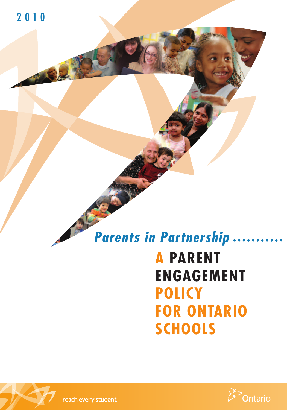# *Parents in Partnership*

# **A PARENT ENGAGEMENT POLICY FOR ONTARIO SCHOOLS**





reach every student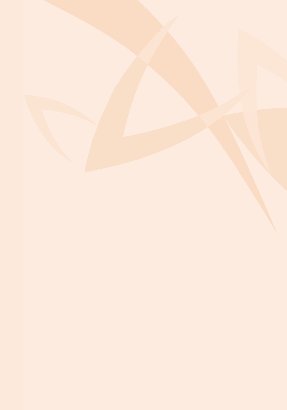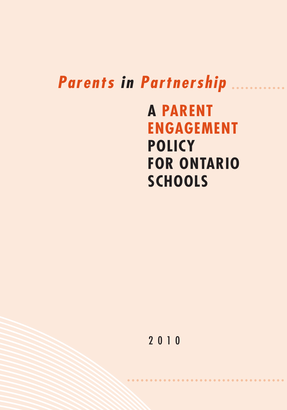# *Parents in Partnership*

# **A PARENT ENGAGEMENT POLICY FOR ONTARIO SCHOOLS**

2 0 1 0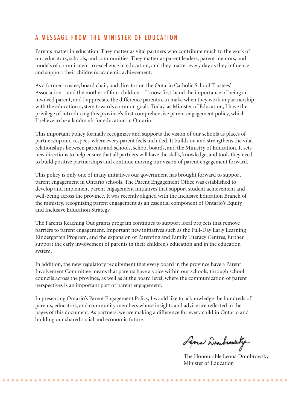#### A MESSAGE FROM THE MINISTER OF EDUCATION

Parents matter in education. They matter as vital partners who contribute much to the work of our educators, schools, and communities. They matter as parent leaders, parent mentors, and models of commitment to excellence in education, and they matter every day as they influence and support their children's academic achievement.

As a former trustee, board chair, and director on the Ontario Catholic School Trustees' Association – and the mother of four children – I know first-hand the importance of being an involved parent, and I appreciate the difference parents can make when they work in partnership with the education system towards common goals. Today, as Minister of Education, I have the privilege of introducing this province's first comprehensive parent engagement policy, which I believe to be a landmark for education in Ontario.

This important policy formally recognizes and supports the vision of our schools as places of partnership and respect, where every parent feels included. It builds on and strengthens the vital relationships between parents and schools, school boards, and the Ministry of Education. It sets new directions to help ensure that all partners will have the skills, knowledge, and tools they need to build positive partnerships and continue moving our vision of parent engagement forward.

This policy is only one of many initiatives our government has brought forward to support parent engagement in Ontario schools. The Parent Engagement Office was established to develop and implement parent engagement initiatives that support student achievement and well-being across the province. It was recently aligned with the Inclusive Education Branch of the ministry, recognizing parent engagement as an essential component of Ontario's Equity and Inclusive Education Strategy.

The Parents Reaching Out grants program continues to support local projects that remove barriers to parent engagement. Important new initiatives such as the Full-Day Early Learning Kindergarten Program, and the expansion of Parenting and Family Literacy Centres, further support the early involvement of parents in their children's education and in the education system.

In addition, the new regulatory requirement that every board in the province have a Parent Involvement Committee means that parents have a voice within our schools, through school councils across the province, as well as at the board level, where the communication of parent perspectives is an important part of parent engagement.

In presenting Ontario's Parent Engagement Policy, I would like to acknowledge the hundreds of parents, educators, and community members whose insights and advice are reflected in the pages of this document. As partners, we are making a difference for every child in Ontario and building our shared social and economic future.

Leona Dombrowsky

**AAAAAAAA** 

The Honourable Leona Dombrowsky Minister of Education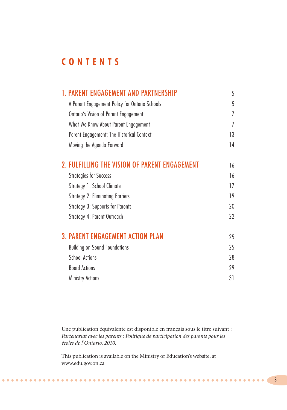## **C O N T E N T S**

| <b>1. PARENT ENGAGEMENT AND PARTNERSHIP</b>    | 5  |
|------------------------------------------------|----|
| A Parent Engagement Policy for Ontario Schools | 5  |
| Ontario's Vision of Parent Engagement          | 7  |
| What We Know About Parent Engagement           | 7  |
| Parent Engagement: The Historical Context      | 13 |
| Moving the Agenda Forward                      | 14 |
| 2. FULFILLING THE VISION OF PARENT ENGAGEMENT  | 16 |
| <b>Strategies for Success</b>                  | 16 |
| Strategy 1: School Climate                     | 17 |
| <b>Strategy 2: Eliminating Barriers</b>        | 19 |
| Strategy 3: Supports for Parents               | 20 |
| Strategy 4: Parent Outreach                    | 22 |
| <b>3. PARENT ENGAGEMENT ACTION PLAN</b>        | 25 |
| <b>Building on Sound Foundations</b>           | 25 |
| <b>School Actions</b>                          | 28 |
| <b>Board Actions</b>                           | 29 |
| <b>Ministry Actions</b>                        | 31 |

Une publication équivalente est disponible en français sous le titre suivant : *Partenariat avec les parents : Politique de participation des parents pour les écoles de l'Ontario, 2010.*

This publication is available on the Ministry of Education's website, at www.edu.gov.on.ca

 $\bullet$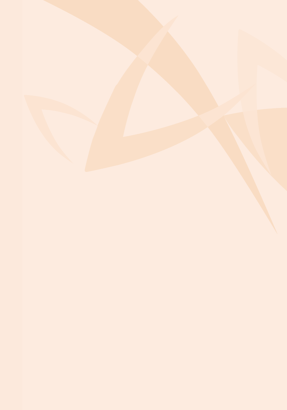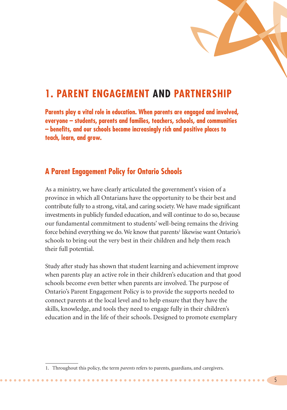## **1. PARENT ENGAGEMENT AND PARTNERSHIP**

**Parents play a vital role in education. When parents are engaged and involved, everyone – students, parents and families, teachers, schools, and communities – benefits, and our schools become increasingly rich and positive places to teach, learn, and grow.**

#### **A Parent Engagement Policy for Ontario Schools**

As a ministry, we have clearly articulated the government's vision of a province in which all Ontarians have the opportunity to be their best and contribute fully to a strong, vital, and caring society.We have made significant investments in publicly funded education, and will continue to do so, because our fundamental commitment to students' well-being remains the driving force behind everything we do. We know that parents<sup>1</sup> likewise want Ontario's schools to bring out the very best in their children and help them reach their full potential.

Study after study has shown that student learning and achievement improve when parents play an active role in their children's education and that good schools become even better when parents are involved. The purpose of Ontario's Parent Engagement Policy is to provide the supports needed to connect parents at the local level and to help ensure that they have the skills, knowledge, and tools they need to engage fully in their children's education and in the life of their schools. Designed to promote exemplary

<sup>1.</sup> Throughout this policy, the term *parents* refers to parents, guardians, and caregivers.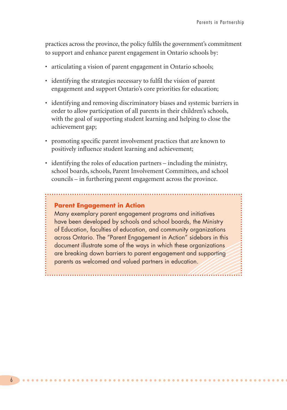practices across the province, the policy fulfils the government's commitment to support and enhance parent engagement in Ontario schools by:

- articulating a vision of parent engagement in Ontario schools;
- identifying the strategies necessary to fulfil the vision of parent engagement and support Ontario's core priorities for education;
- identifying and removing discriminatory biases and systemic barriers in order to allow participation of all parents in their children's schools, with the goal of supporting student learning and helping to close the achievement gap;
- promoting specific parent involvement practices that are known to positively influence student learning and achievement;
- identifying the roles of education partners including the ministry, school boards, schools, Parent Involvement Committees, and school councils – in furthering parent engagement across the province.

#### **Parent Engagement in Action**

Many exemplary parent engagement programs and initiatives have been developed by schools and school boards, the Ministry of Education, faculties of education, and community organizations across Ontario. The "Parent Engagement in Action" sidebars in this document illustrate some of the ways in which these organizations are breaking down barriers to parent engagement and supporting parents as welcomed and valued partners in education.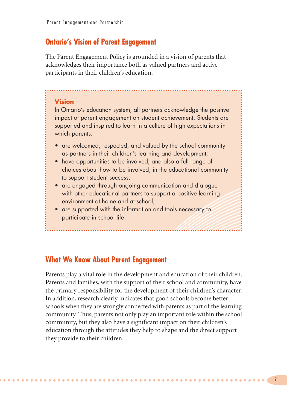### **Ontario's Vision of Parent Engagement**

The Parent Engagement Policy is grounded in a vision of parents that acknowledges their importance both as valued partners and active participants in their children's education.

#### **Vision**

In Ontario's education system, all partners acknowledge the positive impact of parent engagement on student achievement. Students are supported and inspired to learn in a culture of high expectations in which parents:

- are welcomed, respected, and valued by the school community as partners in their children's learning and development;
- have opportunities to be involved, and also a full range of choices about how to be involved, in the educational community to support student success;
- are engaged through ongoing communication and dialogue with other educational partners to support a positive learning environment at home and at school;
- are supported with the information and tools necessary to participate in school life.

### **What We Know About Parent Engagement**

Parents play a vital role in the development and education of their children. Parents and families, with the support of their school and community, have the primary responsibility for the development of their children's character. In addition, research clearly indicates that good schools become better schools when they are strongly connected with parents as part of the learning community. Thus, parents not only play an important role within the school community, but they also have a significant impact on their children's education through the attitudes they help to shape and the direct support they provide to their children.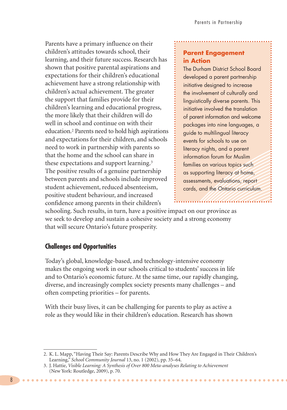Parents have a primary influence on their children's attitudes towards school, their learning, and their future success. Research has shown that positive parental aspirations and expectations for their children's educational achievement have a strong relationship with children's actual achievement. The greater the support that families provide for their children's learning and educational progress, the more likely that their children will do well in school and continue on with their education. <sup>2</sup> Parents need to hold high aspirations and expectations for their children, and schools need to work in partnership with parents so that the home and the school can share in these expectations and support learning. 3 The positive results of a genuine partnership between parents and schools include improved student achievement, reduced absenteeism, positive student behaviour, and increased confidence among parents in their children's

#### **Parent Engagement in Action**

The Durham District School Board developed a parent partnership initiative designed to increase the involvement of culturally and linguistically diverse parents. This initiative involved the translation of parent information and welcome packages into nine languages, a guide to multilingual literacy events for schools to use on literacy nights, and a parent information forum for Muslim families on various topics such as supporting literacy at home, assessments, evaluations, report cards, and the Ontario curriculum.

schooling. Such results, in turn, have a positive impact on our province as we seek to develop and sustain a cohesive society and a strong economy that will secure Ontario's future prosperity.

#### **Challenges and Opportunities**

Today's global, knowledge-based, and technology-intensive economy makes the ongoing work in our schools critical to students' success in life and to Ontario's economic future. At the same time, our rapidly changing, diverse, and increasingly complex society presents many challenges – and often competing priorities – for parents.

With their busy lives, it can be challenging for parents to play as active a role as they would like in their children's education. Research has shown

<sup>2.</sup> K. L. Mapp, "Having Their Say: Parents Describe Why and How They Are Engaged in Their Children's Learning," *School Community Journal* 13, no. 1 (2002), pp. 35–64.

<sup>3.</sup> J. Hattie, *Visible Learning: A Synthesis of Over 800 Meta-analyses Relating to Achievement* (New York: Routledge, 2009), p. 70.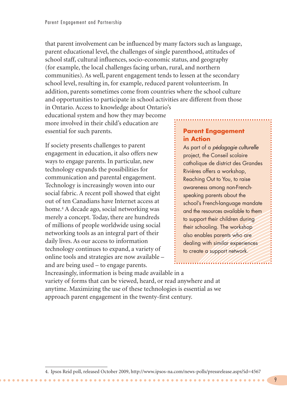that parent involvement can be influenced by many factors such as language, parent educational level, the challenges of single parenthood, attitudes of school staff, cultural influences, socio-economic status, and geography (for example, the local challenges facing urban, rural, and northern communities). As well, parent engagement tends to lessen at the secondary school level, resulting in, for example, reduced parent volunteerism. In addition, parents sometimes come from countries where the school culture and opportunities to participate in school activities are different from those in Ontario. Access to knowledge about Ontario's

educational system and how they may become more involved in their child's education are essential for such parents.

If society presents challenges to parent engagement in education, it also offers new ways to engage parents. In particular, new technology expands the possibilities for communication and parental engagement. Technology is increasingly woven into our social fabric. A recent poll showed that eight out of ten Canadians have Internet access at home. <sup>4</sup> A decade ago, social networking was merely a concept. Today, there are hundreds of millions of people worldwide using social networking tools as an integral part of their daily lives. As our access to information technology continues to expand, a variety of online tools and strategies are now available – and are being used – to engage parents.

#### **Parent Engagement in Action**

As part of a *pédagogie culturelle* project, the Conseil scolaire catholique de district des Grandes Rivières offers a workshop, Reaching Out to You, to raise awareness among non-Frenchspeaking parents about the school's French-language mandate and the resources available to them to support their children during their schooling. The workshop also enables parents who are dealing with similar experiences to create a support network.

Increasingly, information is being made available in a variety of forms that can be viewed, heard, or read anywhere and at anytime. Maximizing the use of these technologies is essential as we approach parent engagement in the twenty-first century.

<sup>4.</sup> Ipsos Reid poll, released October 2009, http://www.ipsos-na.com/news-polls/pressrelease.aspx?id=4567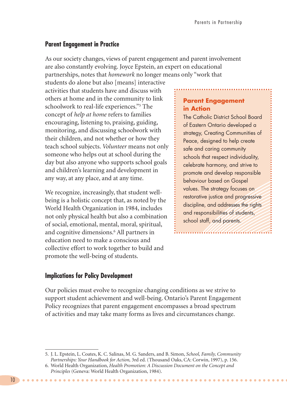#### **Parent Engagement in Practice**

As our society changes, views of parent engagement and parent involvement are also constantly evolving. Joyce Epstein, an expert on educational partnerships, notes that *homework* no longer means only "work that

students do alone but also [means] interactive activities that students have and discuss with others at home and in the community to link schoolwork to real-life experiences."5 The concept of *help at home* refers to families encouraging, listening to, praising, guiding, monitoring, and discussing schoolwork with their children, and not whether or how they teach school subjects. *Volunteer* means not only someone who helps out at school during the day but also anyone who supports school goals and children's learning and development in any way, at any place, and at any time.

We recognize, increasingly, that student wellbeing is a holistic concept that, as noted by the World Health Organization in 1984, includes not only physical health but also a combination of social, emotional, mental, moral, spiritual, and cognitive dimensions. <sup>6</sup> All partners in education need to make a conscious and collective effort to work together to build and promote the well-being of students.

#### **Parent Engagement in Action**

The Catholic District School Board of Eastern Ontario developed a strategy, Creating Communities of Peace, designed to help create safe and caring community schools that respect individuality, celebrate harmony, and strive to promote and develop responsible behaviour based on Gospel values. The strategy focuses on restorative justice and progressive discipline, and addresses the rights and responsibilities of students, school staff, and parents.

#### **Implications for Policy Development**

Our policies must evolve to recognize changing conditions as we strive to support student achievement and well-being. Ontario's Parent Engagement Policy recognizes that parent engagement encompasses a broad spectrum of activities and may take many forms as lives and circumstances change.

<sup>5.</sup> J. L. Epstein, L. Coates, K. C. Salinas, M. G. Sanders, and B. Simon, *School, Family, Community Partnerships: Your Handbook for Action,* 3rd ed. (Thousand Oaks, CA: Corwin, 1997), p. 156.

<sup>6.</sup> World Health Organization, *Health Promotion: A Discussion Document on the Concept and Principles* (Geneva: World Health Organization, 1984).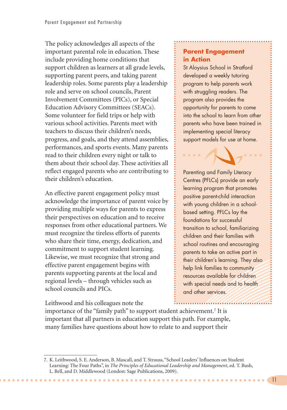The policy acknowledges all aspects of the important parental role in education. These include providing home conditions that support children as learners at all grade levels, supporting parent peers, and taking parent leadership roles. Some parents play a leadership role and serve on school councils, Parent Involvement Committees (PICs), or Special Education Advisory Committees (SEACs). Some volunteer for field trips or help with various school activities. Parents meet with teachers to discuss their children's needs, progress, and goals, and they attend assemblies, performances, and sports events. Many parents read to their children every night or talk to them about their school day. These activities all reflect engaged parents who are contributing to their children's education.

An effective parent engagement policy must acknowledge the importance of parent voice by providing multiple ways for parents to express their perspectives on education and to receive responses from other educational partners. We must recognize the tireless efforts of parents who share their time, energy, dedication, and commitment to support student learning. Likewise, we must recognize that strong and effective parent engagement begins with parents supporting parents at the local and regional levels – through vehicles such as school councils and PICs.

Leithwood and his colleagues note the

importance of the "family path" to support student achievement. <sup>7</sup> It is important that all partners in education support this path. For example, many families have questions about how to relate to and support their

#### **Parent Engagement in Action**

St Aloysius School in Stratford developed a weekly tutoring program to help parents work with struggling readers. The program also provides the opportunity for parents to come into the school to learn from other parents who have been trained in implementing special literacy support models for use at home.

Parenting and Family Literacy Centres (PFLCs) provide an early learning program that promotes positive parent-child interaction with young children in a schoolbased setting. PFLCs lay the foundations for successful transition to school, familiarizing children and their families with school routines and encouraging parents to take an active part in their children's learning. They also help link families to community resources available for children with special needs and to health and other services.

11

<sup>7.</sup> K. Leithwood, S. E. Anderson, B. Mascall, and T. Strauss, "School Leaders' Influences on Student Learning: The Four Paths", in *The Principles of Educational Leadership and Management*, ed. T. Bush, L. Bell, and D. Middlewood (London: Sage Publications, 2009).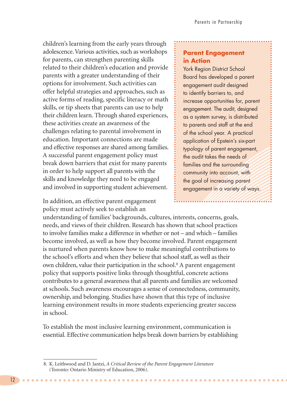children's learning from the early years through adolescence. Various activities, such as workshops for parents, can strengthen parenting skills related to their children's education and provide parents with a greater understanding of their options for involvement. Such activities can offer helpful strategies and approaches, such as active forms of reading, specific literacy or math skills, or tip sheets that parents can use to help their children learn. Through shared experiences, these activities create an awareness of the challenges relating to parental involvement in education. Important connections are made and effective responses are shared among families. A successful parent engagement policy must break down barriers that exist for many parents in order to help support all parents with the skills and knowledge they need to be engaged and involved in supporting student achievement.

In addition, an effective parent engagement policy must actively seek to establish an

understanding of families' backgrounds, cultures, interests, concerns, goals, needs, and views of their children. Research has shown that school practices to involve families make a difference in whether or not – and which – families become involved, as well as how they become involved. Parent engagement is nurtured when parents know how to make meaningful contributions to the school's efforts and when they believe that school staff, as well as their own children, value their participation in the school. <sup>8</sup> A parent engagement policy that supports positive links through thoughtful, concrete actions contributes to a general awareness that all parents and families are welcomed at schools. Such awareness encourages a sense of connectedness, community, ownership, and belonging. Studies have shown that this type of inclusive learning environment results in more students experiencing greater success in school.

To establish the most inclusive learning environment, communication is essential. Effective communication helps break down barriers by establishing

. . . . . .

#### **Parent Engagement in Action**

York Region District School Board has developed a parent engagement audit designed to identify barriers to, and increase opportunities for, parent engagement. The audit, designed as a system survey, is distributed to parents and staff at the end of the school year. A practical application of Epstein's six-part typology of parent engagement, the audit takes the needs of families and the surrounding community into account, with the goal of increasing parent engagement in a variety of ways. <sup>8.</sup> K. Leithwood and D. Jantzi, *A Critical Review of the Parent Engagement Literature* (Toronto: Ontario Ministry of Education, 2006).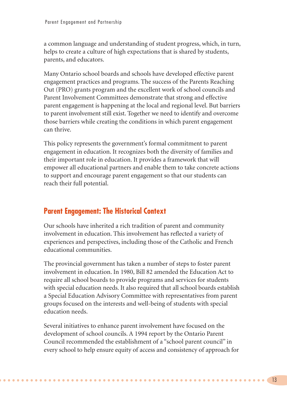a common language and understanding of student progress, which, in turn, helps to create a culture of high expectations that is shared by students, parents, and educators.

Many Ontario school boards and schools have developed effective parent engagement practices and programs. The success of the Parents Reaching Out (PRO) grants program and the excellent work of school councils and Parent Involvement Committees demonstrate that strong and effective parent engagement is happening at the local and regional level. But barriers to parent involvement still exist. Together we need to identify and overcome those barriers while creating the conditions in which parent engagement can thrive.

This policy represents the government's formal commitment to parent engagement in education. It recognizes both the diversity of families and their important role in education. It provides a framework that will empower all educational partners and enable them to take concrete actions to support and encourage parent engagement so that our students can reach their full potential.

## **Parent Engagement: The Historical Context**

Our schools have inherited a rich tradition of parent and community involvement in education. This involvement has reflected a variety of experiences and perspectives, including those of the Catholic and French educational communities.

The provincial government has taken a number of steps to foster parent involvement in education. In 1980, Bill 82 amended the Education Act to require all school boards to provide programs and services for students with special education needs. It also required that all school boards establish a Special Education Advisory Committee with representatives from parent groups focused on the interests and well-being of students with special education needs.

Several initiatives to enhance parent involvement have focused on the development of school councils. A 1994 report by the Ontario Parent Council recommended the establishment of a "school parent council" in every school to help ensure equity of access and consistency of approach for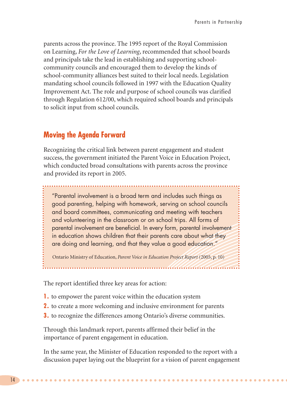parents across the province. The 1995 report of the Royal Commission on Learning, *For the Love of Learning*, recommended that school boards and principals take the lead in establishing and supporting schoolcommunity councils and encouraged them to develop the kinds of school-community alliances best suited to their local needs. Legislation mandating school councils followed in 1997 with the Education Quality Improvement Act. The role and purpose of school councils was clarified through Regulation 612/00, which required school boards and principals to solicit input from school councils.

## **Moving the Agenda Forward**

Recognizing the critical link between parent engagement and student success, the government initiated the Parent Voice in Education Project, which conducted broad consultations with parents across the province and provided its report in 2005.

"Parental involvement is a broad term and includes such things as good parenting, helping with homework, serving on school councils and board committees, communicating and meeting with teachers and volunteering in the classroom or on school trips. All forms of parental involvement are beneficial. In every form, parental involvement in education shows children that their parents care about what they are doing and learning, and that they value a good education."

Ontario Ministry of Education, *Parent Voice in Education Project Report* (2005, p. 10)

The report identified three key areas for action:

- **1.** to empower the parent voice within the education system
- **2.** to create a more welcoming and inclusive environment for parents
- **3.** to recognize the differences among Ontario's diverse communities.

Through this landmark report, parents affirmed their belief in the importance of parent engagement in education.

In the same year, the Minister of Education responded to the report with a discussion paper laying out the blueprint for a vision of parent engagement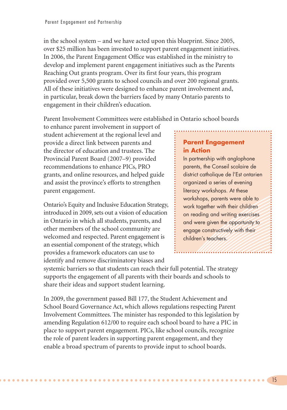in the school system – and we have acted upon this blueprint. Since 2005, over \$25 million has been invested to support parent engagement initiatives. In 2006, the Parent Engagement Office was established in the ministry to develop and implement parent engagement initiatives such as the Parents Reaching Out grants program. Over its first four years, this program provided over 5,500 grants to school councils and over 200 regional grants. All of these initiatives were designed to enhance parent involvement and, in particular, break down the barriers faced by many Ontario parents to engagement in their children's education.

Parent Involvement Committees were established in Ontario school boards

to enhance parent involvement in support of student achievement at the regional level and provide a direct link between parents and the director of education and trustees. The Provincial Parent Board (2007–9) provided recommendations to enhance PICs, PRO grants, and online resources, and helped guide and assist the province's efforts to strengthen parent engagement.

Ontario's Equity and Inclusive Education Strategy, introduced in 2009, sets out a vision of education in Ontario in which all students, parents, and other members of the school community are welcomed and respected. Parent engagement is an essential component of the strategy, which provides a framework educators can use to identify and remove discriminatory biases and

#### **Parent Engagement in Action**

In partnership with anglophone parents, the Conseil scolaire de district catholique de l'Est ontarien organized a series of evening literacy workshops. At these workshops, parents were able to work together with their children on reading and writing exercises and were given the opportunity to engage constructively with their children's teachers.

systemic barriers so that students can reach their full potential. The strategy supports the engagement of all parents with their boards and schools to share their ideas and support student learning.

In 2009, the government passed Bill 177, the Student Achievement and School Board Governance Act, which allows regulations respecting Parent Involvement Committees. The minister has responded to this legislation by amending Regulation 612/00 to require each school board to have a PIC in place to support parent engagement. PICs, like school councils, recognize the role of parent leaders in supporting parent engagement, and they enable a broad spectrum of parents to provide input to school boards.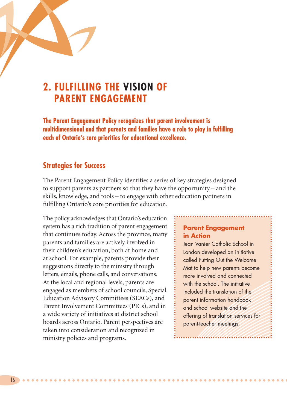## **2. FULFILLING THE VISION OF PARENT ENGAGEMENT**

**The Parent Engagement Policy recognizes that parent involvement is multidimensional and that parents and families have a role to play in fulfilling each of Ontario's core priorities for educational excellence.**

#### **Strategies for Success**

The Parent Engagement Policy identifies a series of key strategies designed to support parents as partners so that they have the opportunity – and the skills, knowledge, and tools – to engage with other education partners in fulfilling Ontario's core priorities for education.

The policy acknowledges that Ontario's education system has a rich tradition of parent engagement that continues today. Across the province, many parents and families are actively involved in their children's education, both at home and at school. For example, parents provide their suggestions directly to the ministry through letters, emails, phone calls, and conversations. At the local and regional levels, parents are engaged as members of school councils, Special Education Advisory Committees (SEACs), and Parent Involvement Committees (PICs), and in a wide variety of initiatives at district school boards across Ontario. Parent perspectives are taken into consideration and recognized in ministry policies and programs.

#### **Parent Engagement in Action**

Jean Vanier Catholic School in London developed an initiative called Putting Out the Welcome Mat to help new parents become more involved and connected with the school. The initiative included the translation of the parent information handbook and school website and the offering of translation services for parent-teacher meetings.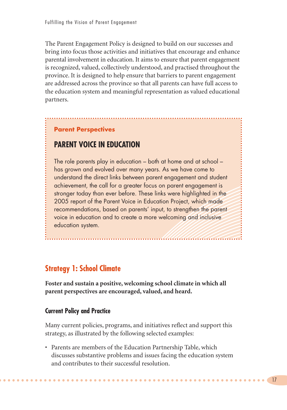The Parent Engagement Policy is designed to build on our successes and bring into focus those activities and initiatives that encourage and enhance parental involvement in education. It aims to ensure that parent engagement is recognized, valued, collectively understood, and practised throughout the province. It is designed to help ensure that barriers to parent engagement are addressed across the province so that all parents can have full access to the education system and meaningful representation as valued educational partners.

#### **Parent Perspectives**

## **PARENT VOICE IN EDUCATION**

The role parents play in education – both at home and at school – has grown and evolved over many years. As we have come to understand the direct links between parent engagement and student achievement, the call for a greater focus on parent engagement is stronger today than ever before. These links were highlighted in the 2005 report of the Parent Voice in Education Project, which made recommendations, based on parents' input, to strengthen the parent voice in education and to create a more welcoming and inclusive education system.

## **Strategy 1: School Climate**

**Foster and sustain a positive,welcoming school climate in which all parent perspectives are encouraged, valued, and heard.**

#### **Current Policy and Practice**

Many current policies, programs, and initiatives reflect and support this strategy, as illustrated by the following selected examples:

• Parents are members of the Education Partnership Table, which discusses substantive problems and issues facing the education system and contributes to their successful resolution.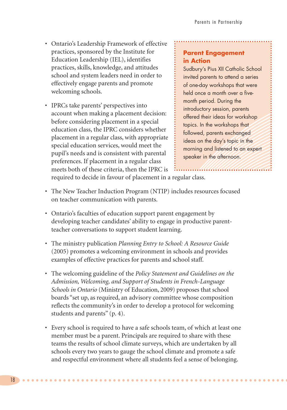- Ontario's Leadership Framework of effective practices, sponsored by the Institute for Education Leadership (IEL), identifies practices, skills, knowledge, and attitudes school and system leaders need in order to effectively engage parents and promote welcoming schools.
- IPRCs take parents' perspectives into account when making a placement decision: before considering placement in a special education class, the IPRC considers whether placement in a regular class, with appropriate special education services, would meet the pupil's needs and is consistent with parental preferences. If placement in a regular class meets both of these criteria, then the IPRC is

#### **Parent Engagement in Action**

Sudbury's Pius XII Catholic School invited parents to attend a series of one-day workshops that were held once a month over a fivemonth period. During the introductory session, parents offered their ideas for workshop topics. In the workshops that followed, parents exchanged ideas on the day's topic in the morning and listened to an expert speaker in the afternoon.

required to decide in favour of placement in a regular class.

- The New Teacher Induction Program (NTIP) includes resources focused on teacher communication with parents.
- Ontario's faculties of education support parent engagement by developing teacher candidates' ability to engage in productive parentteacher conversations to support student learning.
- The ministry publication *Planning Entry to School: A Resource Guide* (2005) promotes a welcoming environment in schools and provides examples of effective practices for parents and school staff.
- The welcoming guideline of the *Policy Statement and Guidelines on the Admission, Welcoming, and Support of Students in French-Language Schools in Ontario* (Ministry of Education, 2009) proposes that school boards "set up, as required, an advisory committee whose composition reflects the community's in order to develop a protocol for welcoming students and parents" (p. 4).
- Every school is required to have a safe schools team, of which at least one member must be a parent. Principals are required to share with these teams the results of school climate surveys, which are undertaken by all schools every two years to gauge the school climate and promote a safe and respectful environment where all students feel a sense of belonging.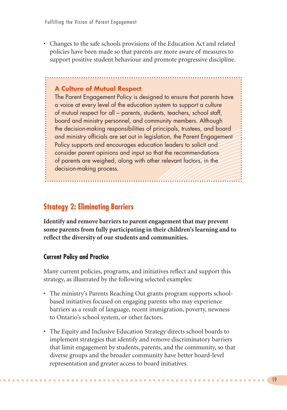• Changes to the safe schools provisions of the Education Act and related policies have been made so that parents are more aware of measures to support positive student behaviour and promote progressive discipline.

#### **A Culture of Mutual Respect**

The Parent Engagement Policy is designed to ensure that parents have a voice at every level of the education system to support a culture of mutual respect for all – parents, students, teachers, school staff, board and ministry personnel, and community members. Although the decision-making responsibilities of principals, trustees, and board and ministry officials are set out in legislation, the Parent Engagement Policy supports and encourages education leaders to solicit and consider parent opinions and input so that the recommendations of parents are weighed, along with other relevant factors, in the decision-making process.

## **Strategy 2: Eliminating Barriers**

**Identify and remove barriers to parent engagement that may prevent some parents from fully participating in their children's learning and to reflect the diversity of ourstudents and communities.**

#### **Current Policy and Practice**

Many current policies, programs, and initiatives reflect and support this strategy, as illustrated by the following selected examples:

- The ministry's Parents Reaching Out grants program supports schoolbased initiatives focused on engaging parents who may experience barriers as a result of language, recent immigration, poverty, newness to Ontario's school system, or other factors.
- The Equity and Inclusive Education Strategy directs school boards to implement strategies that identify and remove discriminatory barriers that limit engagement by students, parents, and the community, so that diverse groups and the broader community have better board-level representation and greater access to board initiatives.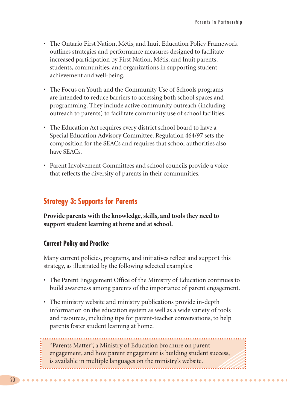- The Ontario First Nation, Métis, and Inuit Education Policy Framework outlines strategies and performance measures designed to facilitate increased participation by First Nation, Métis, and Inuit parents, students, communities, and organizations in supporting student achievement and well-being.
- The Focus on Youth and the Community Use of Schools programs are intended to reduce barriers to accessing both school spaces and programming. They include active community outreach (including outreach to parents) to facilitate community use of school facilities.
- The Education Act requires every district school board to have a Special Education Advisory Committee. Regulation 464/97 sets the composition for the SEACs and requires that school authorities also have SEACs.
- Parent Involvement Committees and school councils provide a voice that reflects the diversity of parents in their communities.

## **Strategy 3: Supports for Parents**

**Provide parents with the knowledge,skills, and tools they need to support student learning at home and at school.**

#### **Current Policy and Practice**

Many current policies, programs, and initiatives reflect and support this strategy, as illustrated by the following selected examples:

- The Parent Engagement Office of the Ministry of Education continues to build awareness among parents of the importance of parent engagement.
- The ministry website and ministry publications provide in-depth information on the education system as well as a wide variety of tools and resources, including tips for parent-teacher conversations, to help parents foster student learning at home.

"Parents Matter", a Ministry of Education brochure on parent engagement, and how parent engagement is building student success, is available in multiple languages on the ministry's website.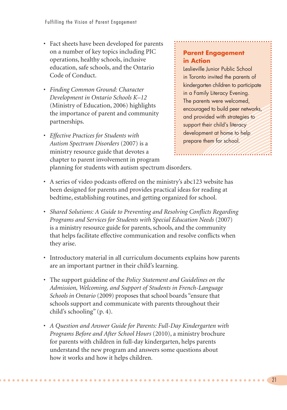- Fact sheets have been developed for parents on a number of key topics including PIC operations, healthy schools, inclusive education, safe schools, and the Ontario Code of Conduct.
- *Finding Common Ground: Character Development in Ontario Schools K–12* (Ministry of Education, 2006) highlights the importance of parent and community partnerships.
- *Effective Practices for Students with Autism Spectrum Disorders* (2007) is a ministry resource guide that devotes a chapter to parent involvement in program planning for students with autism spectrum disorders.

#### **Parent Engagement in Action**

Leslieville Junior Public School in Toronto invited the parents of kindergarten children to participate in a Family Literacy Evening. The parents were welcomed, encouraged to build peer networks, and provided with strategies to support their child's literacy development at home to help prepare them for school.

- A series of video podcasts offered on the ministry's abc123 website has been designed for parents and provides practical ideas for reading at bedtime, establishing routines, and getting organized for school.
- *Shared Solutions: A Guide to Preventing and Resolving Conflicts Regarding Programs and Services for Students with Special Education Needs* (2007) is a ministry resource guide for parents, schools, and the community that helps facilitate effective communication and resolve conflicts when they arise.
- Introductory material in all curriculum documents explains how parents are an important partner in their child's learning.
- The support guideline of the *Policy Statement and Guidelines on the Admission, Welcoming, and Support of Students in French-Language Schools in Ontario* (2009) proposes that school boards "ensure that schools support and communicate with parents throughout their child's schooling" (p. 4).
- *A Question and Answer Guide for Parents: Full-Day Kindergarten with Programs Before and After School Hours* (2010), a ministry brochure for parents with children in full-day kindergarten, helps parents understand the new program and answers some questions about how it works and how it helps children.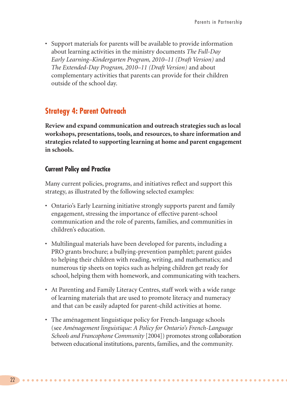• Support materials for parents will be available to provide information about learning activities in the ministry documents *The Full-Day Early Learning–Kindergarten Program, 2010–11 (Draft Version)* and *The Extended-Day Program, 2010–11 (Draft Version)* and about complementary activities that parents can provide for their children outside of the school day.

## **Strategy 4: Parent Outreach**

**Review and expand communication and outreach strategies such as local workshops, presentations, tools, and resources, to share information and strategiesrelated to supporting learning at home and parent engagement in schools.**

#### **Current Policy and Practice**

Many current policies, programs, and initiatives reflect and support this strategy, as illustrated by the following selected examples:

- Ontario's Early Learning initiative strongly supports parent and family engagement, stressing the importance of effective parent-school communication and the role of parents, families, and communities in children's education.
- Multilingual materials have been developed for parents, including a PRO grants brochure; a bullying-prevention pamphlet; parent guides to helping their children with reading, writing, and mathematics; and numerous tip sheets on topics such as helping children get ready for school, helping them with homework, and communicating with teachers.
- At Parenting and Family Literacy Centres, staff work with a wide range of learning materials that are used to promote literacy and numeracy and that can be easily adapted for parent-child activities at home.
- The aménagement linguistique policy for French-language schools (see *Aménagement linguistique: A Policy for Ontario's French-Language Schools and Francophone Community* [2004]) promotes strong collaboration between educational institutions, parents, families, and the community.

. . . . . . . . . . . . . . . . .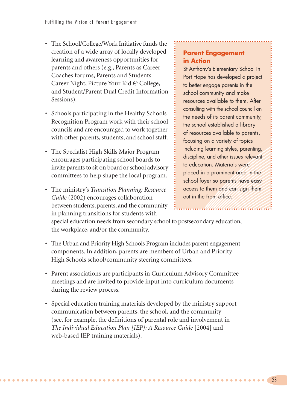- The School/College/Work Initiative funds the creation of a wide array of locally developed learning and awareness opportunities for parents and others (e.g., Parents as Career Coaches forums, Parents and Students Career Night, Picture Your Kid @ College, and Student/Parent Dual Credit Information Sessions).
- Schools participating in the Healthy Schools Recognition Program work with their school councils and are encouraged to work together with other parents, students, and school staff.
- The Specialist High Skills Major Program encourages participating school boards to invite parents to sit on board or school advisory committees to help shape the local program.
- The ministry's *Transition Planning: Resource Guide* (2002) encourages collaboration between students, parents, and the community in planning transitions for students with

#### **Parent Engagement in Action**

St Anthony's Elementary School in Port Hope has developed a project to better engage parents in the school community and make resources available to them. After consulting with the school council on the needs of its parent community, the school established a library of resources available to parents, focusing on a variety of topics including learning styles, parenting, discipline, and other issues relevant to education. Materials were placed in a prominent area in the school foyer so parents have easy access to them and can sign them out in the front office.

special education needs from secondary school to postsecondary education, the workplace, and/or the community.

- The Urban and Priority High Schools Program includes parent engagement components. In addition, parents are members of Urban and Priority High Schools school/community steering committees.
- Parent associations are participants in Curriculum Advisory Committee meetings and are invited to provide input into curriculum documents during the review process.
- Special education training materials developed by the ministry support communication between parents, the school, and the community (see, for example, the definitions of parental role and involvement in *The Individual Education Plan [IEP]: A Resource Guide* [2004] and web-based IEP training materials).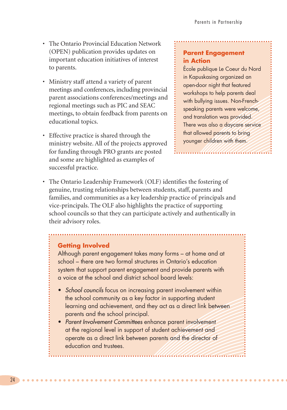- The Ontario Provincial Education Network (OPEN) publication provides updates on important education initiatives of interest to parents.
- Ministry staff attend a variety of parent meetings and conferences, including provincial parent associations conferences/meetings and regional meetings such as PIC and SEAC meetings, to obtain feedback from parents on educational topics.
- Effective practice is shared through the ministry website. All of the projects approved for funding through PRO grants are posted and some are highlighted as examples of successful practice.

#### **Parent Engagement in Action**

École publique Le Coeur du Nord in Kapuskasing organized an open-door night that featured workshops to help parents deal with bullying issues. Non-Frenchspeaking parents were welcome, and translation was provided. There was also a daycare service that allowed parents to bring younger children with them.

• The Ontario Leadership Framework (OLF) identifies the fostering of genuine, trusting relationships between students, staff, parents and families, and communities as a key leadership practice of principals and vice-principals. The OLF also highlights the practice of supporting school councils so that they can participate actively and authentically in their advisory roles.

#### **Getting Involved**

Although parent engagement takes many forms – at home and at school – there are two formal structures in Ontario's education system that support parent engagement and provide parents with a voice at the school and district school board levels:

- *School councils* focus on increasing parent involvement within the school community as a key factor in supporting student learning and achievement, and they act as a direct link between parents and the school principal.
- *Parent Involvement Committees* enhance parent involvement at the regional level in support of student achievement and operate as a direct link between parents and the director of education and trustees.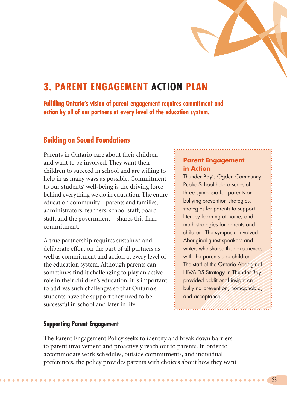

## **3. PARENT ENGAGEMENT ACTION PLAN**

**Fulfilling Ontario's vision of parent engagement requires commitment and action by all of our partners at every level of the education system.**

#### **Building on Sound Foundations**

Parents in Ontario care about their children and want to be involved. They want their children to succeed in school and are willing to help in as many ways as possible. Commitment to our students' well-being is the driving force behind everything we do in education. The entire education community – parents and families, administrators, teachers, school staff, board staff, and the government – shares this firm commitment.

A true partnership requires sustained and deliberate effort on the part of all partners as well as commitment and action at every level of the education system. Although parents can sometimes find it challenging to play an active role in their children's education, it is important to address such challenges so that Ontario's students have the support they need to be successful in school and later in life.

#### **Parent Engagement in Action**

Thunder Bay's Ogden Community Public School held a series of three symposia for parents on bullying-prevention strategies, strategies for parents to support literacy learning at home, and math strategies for parents and children. The symposia involved Aboriginal guest speakers and writers who shared their experiences with the parents and children. The staff of the Ontario Aboriginal HIV/AIDS Strategy in Thunder Bay provided additional insight on bullying prevention, homophobia, and acceptance.

#### **Supporting Parent Engagement**

The Parent Engagement Policy seeks to identify and break down barriers to parent involvement and proactively reach out to parents. In order to accommodate work schedules, outside commitments, and individual preferences, the policy provides parents with choices about how they want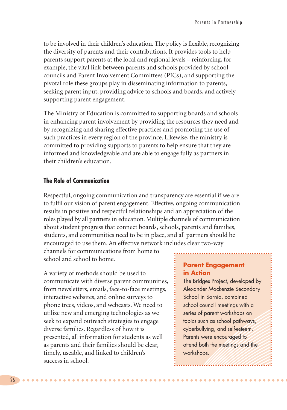to be involved in their children's education. The policy is flexible, recognizing the diversity of parents and their contributions. It provides tools to help parents support parents at the local and regional levels – reinforcing, for example, the vital link between parents and schools provided by school councils and Parent Involvement Committees (PICs), and supporting the pivotal role these groups play in disseminating information to parents, seeking parent input, providing advice to schools and boards, and actively supporting parent engagement.

The Ministry of Education is committed to supporting boards and schools in enhancing parent involvement by providing the resources they need and by recognizing and sharing effective practices and promoting the use of such practices in every region of the province. Likewise, the ministry is committed to providing supports to parents to help ensure that they are informed and knowledgeable and are able to engage fully as partners in their children's education.

#### **The Role of Communication**

Respectful, ongoing communication and transparency are essential if we are to fulfil our vision of parent engagement. Effective, ongoing communication results in positive and respectful relationships and an appreciation of the roles played by all partners in education. Multiple channels of communication about student progress that connect boards, schools, parents and families, students, and communities need to be in place, and all partners should be encouraged to use them. An effective network includes clear two-way

channels for communications from home to school and school to home.

A variety of methods should be used to communicate with diverse parent communities, from newsletters, emails, face-to-face meetings, interactive websites, and online surveys to phone trees, videos, and webcasts. We need to utilize new and emerging technologies as we seek to expand outreach strategies to engage diverse families. Regardless of how it is presented, all information for students as well as parents and their families should be clear, timely, useable, and linked to children's success in school.

#### **Parent Engagement in Action**

The Bridges Project, developed by Alexander Mackenzie Secondary School in Sarnia, combined school council meetings with a series of parent workshops on topics such as school pathways, cyberbullying, and self-esteem. Parents were encouraged to attend both the meetings and the workshops.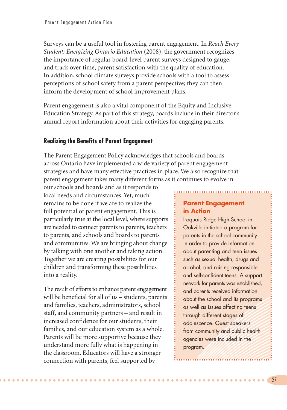Surveys can be a useful tool in fostering parent engagement. In *Reach Every Student: Energizing Ontario Education* (2008), the government recognizes the importance of regular board-level parent surveys designed to gauge, and track over time, parent satisfaction with the quality of education. In addition, school climate surveys provide schools with a tool to assess perceptions of school safety from a parent perspective; they can then inform the development of school improvement plans.

Parent engagement is also a vital component of the Equity and Inclusive Education Strategy. As part of this strategy, boards include in their director's annual report information about their activities for engaging parents.

#### **Realizing the Benefits of Parent Engagement**

The Parent Engagement Policy acknowledges that schools and boards across Ontario have implemented a wide variety of parent engagement strategies and have many effective practices in place. We also recognize that parent engagement takes many different forms as it continues to evolve in

our schools and boards and as it responds to local needs and circumstances. Yet, much remains to be done if we are to realize the full potential of parent engagement. This is particularly true at the local level, where supports are needed to connect parents to parents, teachers to parents, and schools and boards to parents and communities. We are bringing about change by talking with one another and taking action. Together we are creating possibilities for our children and transforming these possibilities into a reality.

The result of efforts to enhance parent engagement will be beneficial for all of us – students, parents and families, teachers, administrators, school staff, and community partners – and result in increased confidence for our students, their families, and our education system as a whole. Parents will be more supportive because they understand more fully what is happening in the classroom. Educators will have a stronger connection with parents, feel supported by

#### **Parent Engagement in Action**

Iroquois Ridge High School in Oakville initiated a program for parents in the school community in order to provide information about parenting and teen issues such as sexual health, drugs and alcohol, and raising responsible and self-confident teens. A support network for parents was established, and parents received information about the school and its programs as well as issues affecting teens through different stages of adolescence. Guest speakers from community and public health agencies were included in the program.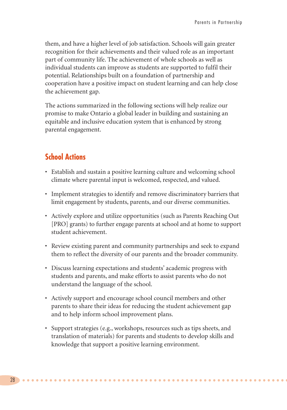them, and have a higher level of job satisfaction. Schools will gain greater recognition for their achievements and their valued role as an important part of community life. The achievement of whole schools as well as individual students can improve as students are supported to fulfil their potential. Relationships built on a foundation of partnership and cooperation have a positive impact on student learning and can help close the achievement gap.

The actions summarized in the following sections will help realize our promise to make Ontario a global leader in building and sustaining an equitable and inclusive education system that is enhanced by strong parental engagement.

## **School Actions**

- Establish and sustain a positive learning culture and welcoming school climate where parental input is welcomed, respected, and valued.
- Implement strategies to identify and remove discriminatory barriers that limit engagement by students, parents, and our diverse communities.
- Actively explore and utilize opportunities (such as Parents Reaching Out [PRO] grants) to further engage parents at school and at home to support student achievement.
- Review existing parent and community partnerships and seek to expand them to reflect the diversity of our parents and the broader community.
- Discuss learning expectations and students' academic progress with students and parents, and make efforts to assist parents who do not understand the language of the school.
- Actively support and encourage school council members and other parents to share their ideas for reducing the student achievement gap and to help inform school improvement plans.
- Support strategies (e.g., workshops, resources such as tips sheets, and translation of materials) for parents and students to develop skills and knowledge that support a positive learning environment.

.................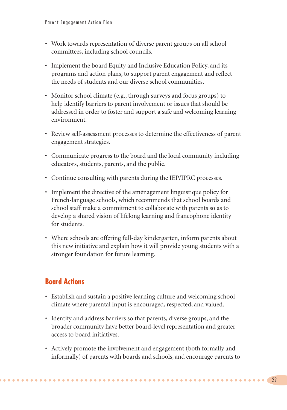- Work towards representation of diverse parent groups on all school committees, including school councils.
- Implement the board Equity and Inclusive Education Policy, and its programs and action plans, to support parent engagement and reflect the needs of students and our diverse school communities.
- Monitor school climate (e.g., through surveys and focus groups) to help identify barriers to parent involvement or issues that should be addressed in order to foster and support a safe and welcoming learning environment.
- Review self-assessment processes to determine the effectiveness of parent engagement strategies.
- Communicate progress to the board and the local community including educators, students, parents, and the public.
- Continue consulting with parents during the IEP/IPRC processes.
- Implement the directive of the aménagement linguistique policy for French-language schools, which recommends that school boards and school staff make a commitment to collaborate with parents so as to develop a shared vision of lifelong learning and francophone identity for students.
- Where schools are offering full-day kindergarten, inform parents about this new initiative and explain how it will provide young students with a stronger foundation for future learning.

## **Board Actions**

- Establish and sustain a positive learning culture and welcoming school climate where parental input is encouraged, respected, and valued.
- Identify and address barriers so that parents, diverse groups, and the broader community have better board-level representation and greater access to board initiatives.
- Actively promote the involvement and engagement (both formally and informally) of parents with boards and schools, and encourage parents to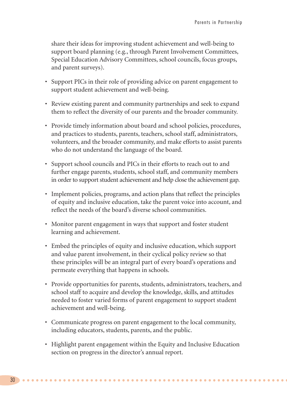share their ideas for improving student achievement and well-being to support board planning (e.g., through Parent Involvement Committees, Special Education Advisory Committees, school councils, focus groups, and parent surveys).

- Support PICs in their role of providing advice on parent engagement to support student achievement and well-being.
- Review existing parent and community partnerships and seek to expand them to reflect the diversity of our parents and the broader community.
- Provide timely information about board and school policies, procedures, and practices to students, parents, teachers, school staff, administrators, volunteers, and the broader community, and make efforts to assist parents who do not understand the language of the board.
- Support school councils and PICs in their efforts to reach out to and further engage parents, students, school staff, and community members in order to support student achievement and help close the achievement gap.
- Implement policies, programs, and action plans that reflect the principles of equity and inclusive education, take the parent voice into account, and reflect the needs of the board's diverse school communities.
- Monitor parent engagement in ways that support and foster student learning and achievement.
- Embed the principles of equity and inclusive education, which support and value parent involvement, in their cyclical policy review so that these principles will be an integral part of every board's operations and permeate everything that happens in schools.
- Provide opportunities for parents, students, administrators, teachers, and school staff to acquire and develop the knowledge, skills, and attitudes needed to foster varied forms of parent engagement to support student achievement and well-being.
- Communicate progress on parent engagement to the local community, including educators, students, parents, and the public.
- Highlight parent engagement within the Equity and Inclusive Education section on progress in the director's annual report.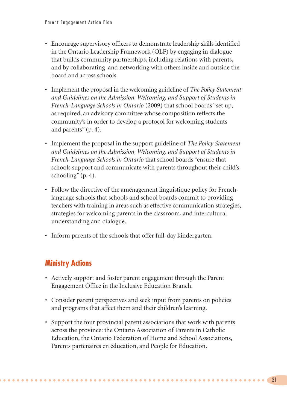- Encourage supervisory officers to demonstrate leadership skills identified in the Ontario Leadership Framework (OLF) by engaging in dialogue that builds community partnerships, including relations with parents, and by collaborating and networking with others inside and outside the board and across schools.
- Implement the proposal in the welcoming guideline of *The Policy Statement and Guidelines on the Admission, Welcoming, and Support of Students in French-Language Schools in Ontario* (2009) that school boards "set up, as required, an advisory committee whose composition reflects the community's in order to develop a protocol for welcoming students and parents" (p. 4).
- Implement the proposal in the support guideline of *The Policy Statement and Guidelines on the Admission, Welcoming, and Support of Students in French-Language Schools in Ontario* that school boards "ensure that schools support and communicate with parents throughout their child's schooling" (p. 4).
- Follow the directive of the aménagement linguistique policy for Frenchlanguage schools that schools and school boards commit to providing teachers with training in areas such as effective communication strategies, strategies for welcoming parents in the classroom, and intercultural understanding and dialogue.
- Inform parents of the schools that offer full-day kindergarten.

## **Ministry Actions**

- Actively support and foster parent engagement through the Parent Engagement Office in the Inclusive Education Branch.
- Consider parent perspectives and seek input from parents on policies and programs that affect them and their children's learning.
- Support the four provincial parent associations that work with parents across the province: the Ontario Association of Parents in Catholic Education, the Ontario Federation of Home and School Associations, Parents partenaires en éducation, and People for Education.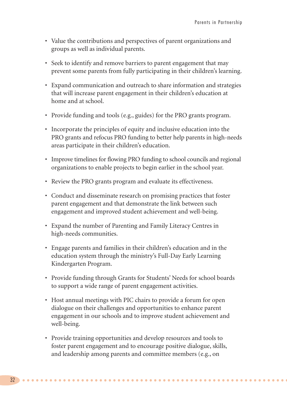- Value the contributions and perspectives of parent organizations and groups as well as individual parents.
- Seek to identify and remove barriers to parent engagement that may prevent some parents from fully participating in their children's learning.
- Expand communication and outreach to share information and strategies that will increase parent engagement in their children's education at home and at school.
- Provide funding and tools (e.g., guides) for the PRO grants program.
- Incorporate the principles of equity and inclusive education into the PRO grants and refocus PRO funding to better help parents in high-needs areas participate in their children's education.
- Improve timelines for flowing PRO funding to school councils and regional organizations to enable projects to begin earlier in the school year.
- Review the PRO grants program and evaluate its effectiveness.
- Conduct and disseminate research on promising practices that foster parent engagement and that demonstrate the link between such engagement and improved student achievement and well-being.
- Expand the number of Parenting and Family Literacy Centres in high-needs communities.
- Engage parents and families in their children's education and in the education system through the ministry's Full-Day Early Learning Kindergarten Program.
- Provide funding through Grants for Students' Needs for school boards to support a wide range of parent engagement activities.
- Host annual meetings with PIC chairs to provide a forum for open dialogue on their challenges and opportunities to enhance parent engagement in our schools and to improve student achievement and well-being.
- Provide training opportunities and develop resources and tools to foster parent engagement and to encourage positive dialogue, skills, and leadership among parents and committee members (e.g., on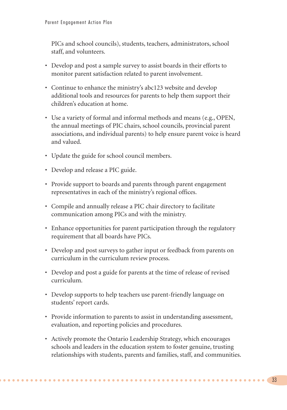PICs and school councils), students, teachers, administrators, school staff, and volunteers.

- Develop and post a sample survey to assist boards in their efforts to monitor parent satisfaction related to parent involvement.
- Continue to enhance the ministry's abc123 website and develop additional tools and resources for parents to help them support their children's education at home.
- Use a variety of formal and informal methods and means (e.g., OPEN, the annual meetings of PIC chairs, school councils, provincial parent associations, and individual parents) to help ensure parent voice is heard and valued.
- Update the guide for school council members.
- Develop and release a PIC guide.
- Provide support to boards and parents through parent engagement representatives in each of the ministry's regional offices.
- Compile and annually release a PIC chair directory to facilitate communication among PICs and with the ministry.
- Enhance opportunities for parent participation through the regulatory requirement that all boards have PICs.
- Develop and post surveys to gather input or feedback from parents on curriculum in the curriculum review process.
- Develop and post a guide for parents at the time of release of revised curriculum.
- Develop supports to help teachers use parent-friendly language on students' report cards.
- Provide information to parents to assist in understanding assessment, evaluation, and reporting policies and procedures.
- Actively promote the Ontario Leadership Strategy, which encourages schools and leaders in the education system to foster genuine, trusting relationships with students, parents and families, staff, and communities.